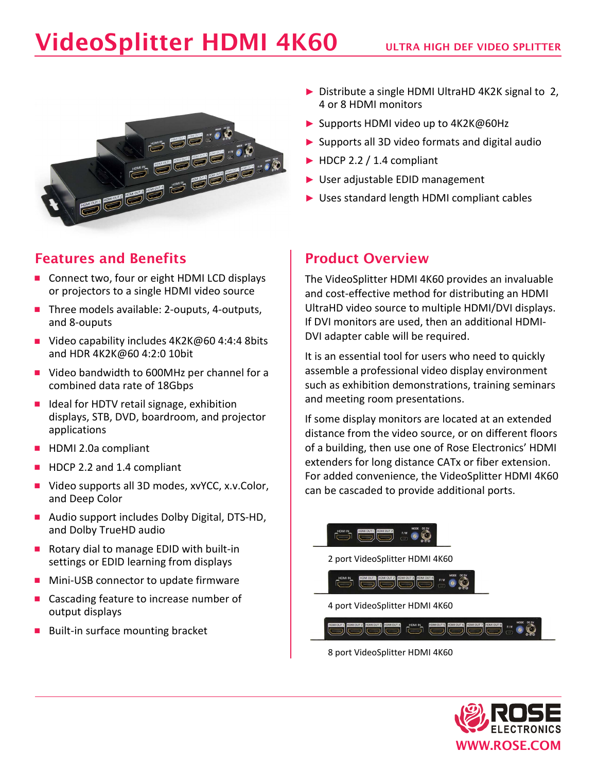# VideoSplitter HDMI 4K60 ULTRA HIGH DEF VIDEO SPLITTER



# Features and Benefits

- Connect two, four or eight HDMI LCD displays or projectors to a single HDMI video source
- Three models available: 2-ouputs, 4-outputs, and 8-ouputs
- Video capability includes 4K2K@60 4:4:4 8bits and HDR 4K2K@60 4:2:0 10bit
- Video bandwidth to 600MHz per channel for a combined data rate of 18Gbps
- **I** Ideal for HDTV retail signage, exhibition displays, STB, DVD, boardroom, and projector applications
- HDMI 2.0a compliant
- HDCP 2.2 and 1.4 compliant
- Video supports all 3D modes, xvYCC, x.v.Color, and Deep Color
- Audio support includes Dolby Digital, DTS-HD, and Dolby TrueHD audio
- Rotary dial to manage EDID with built-in settings or EDID learning from displays
- **Mini-USB connector to update firmware**
- Cascading feature to increase number of output displays
- Built-in surface mounting bracket
- ► Distribute a single HDMI UltraHD 4K2K signal to 2, 4 or 8 HDMI monitors
- ► Supports HDMI video up to 4K2K@60Hz
- ► Supports all 3D video formats and digital audio
- $\blacktriangleright$  HDCP 2.2 / 1.4 compliant
- ► User adjustable EDID management
- ► Uses standard length HDMI compliant cables

## Product Overview

The VideoSplitter HDMI 4K60 provides an invaluable and cost-effective method for distributing an HDMI UltraHD video source to multiple HDMI/DVI displays. If DVI monitors are used, then an additional HDMI-DVI adapter cable will be required.

It is an essential tool for users who need to quickly assemble a professional video display environment such as exhibition demonstrations, training seminars and meeting room presentations.

If some display monitors are located at an extended distance from the video source, or on different floors of a building, then use one of Rose Electronics' HDMI extenders for long distance CATx or fiber extension. For added convenience, the VideoSplitter HDMI 4K60 can be cascaded to provide additional ports.



8 port VideoSplitter HDMI 4K60